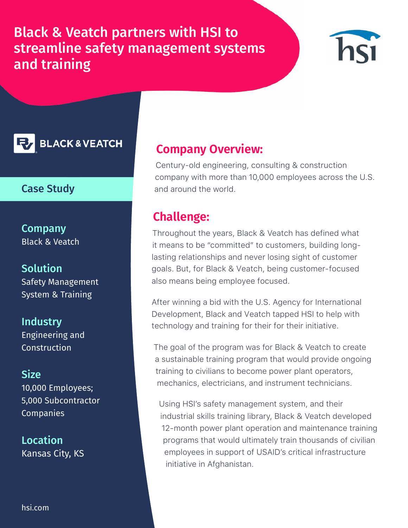Black & Veatch partners with HSI to streamline safety management systems and training



**BLACK & VEATCH** 

### Case Study

**Company** Black & Veatch

### **Solution**

Safety Management System & Training

**Industry** Engineering and **Construction** 

#### **Size**

10,000 Employees; 5,000 Subcontractor **Companies** 

Location Kansas City, KS

## **Company Overview:**

Century-old engineering, consulting & construction company with more than 10,000 employees across the U.S. and around the world.

## **Challenge:**

Throughout the years, Black & Veatch has defined what it means to be "committed" to customers, building longlasting relationships and never losing sight of customer goals. But, for Black & Veatch, being customer-focused also means being employee focused.

After winning a bid with the U.S. Agency for International Development, Black and Veatch tapped HSI to help with technology and training for their for their initiative.

The goal of the program was for Black & Veatch to create a sustainable training program that would provide ongoing training to civilians to become power plant operators, mechanics, electricians, and instrument technicians.

Using HSI's safety management system, and their industrial skills training library, Black & Veatch developed 12-month power plant operation and maintenance training programs that would ultimately train thousands of civilian employees in support of USAID's critical infrastructure initiative in Afghanistan.

[hsi.com](https://hsi.com/)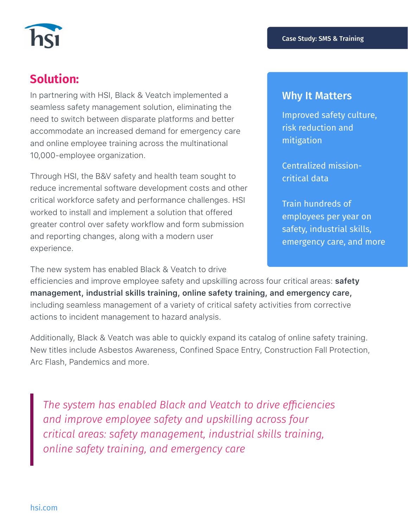

# **Solution:**

In partnering with HSI, Black & Veatch implemented a seamless safety management solution, eliminating the need to switch between disparate platforms and better accommodate an increased demand for emergency care and online employee training across the multinational 10,000-employee organization.

Through HSI, the B&V safety and health team sought to reduce incremental software development costs and other critical workforce safety and performance challenges. HSI worked to install and implement a solution that offered greater control over safety workflow and form submission and reporting changes, along with a modern user experience.

The new system has enabled Black & Veatch to drive

#### Why It Matters

Improved safety culture, risk reduction and mitigation

Centralized missioncritical data

Train hundreds of employees per year on safety, industrial skills, emergency care, and more

efficiencies and improve employee safety and upskilling across four critical areas: **safety management, industrial skills training, online safety training, and emergency care,** including seamless management of a variety of critical safety activities from corrective actions to incident management to hazard analysis.

Additionally, Black & Veatch was able to quickly expand its catalog of online safety training. New titles include Asbestos Awareness, Confined Space Entry, Construction Fall Protection, Arc Flash, Pandemics and more.

*The system has enabled Black and Veatch to drive efficiencies and improve employee safety and upskilling across four critical areas: safety management, industrial skills training, online safety training, and emergency care*